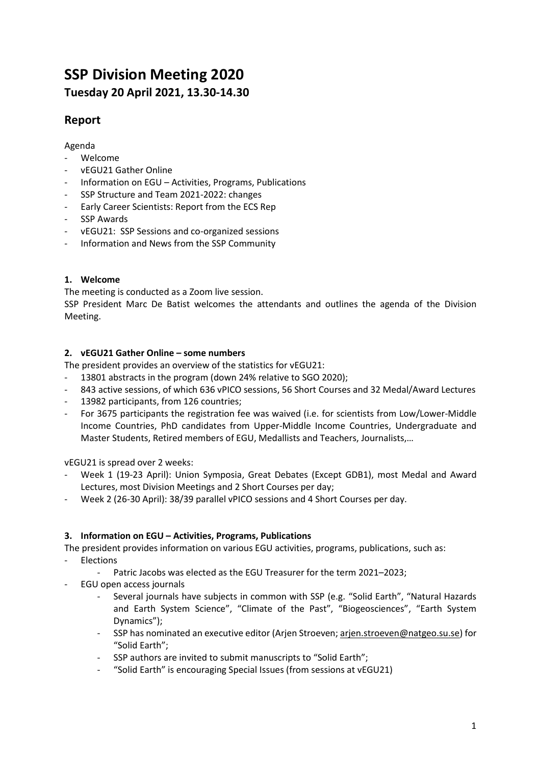# **SSP Division Meeting 2020 Tuesday 20 April 2021, 13.30-14.30**

# **Report**

# Agenda

- Welcome
- vEGU21 Gather Online
- Information on EGU Activities, Programs, Publications
- SSP Structure and Team 2021-2022: changes
- Early Career Scientists: Report from the ECS Rep
- SSP Awards
- vEGU21: SSP Sessions and co-organized sessions
- Information and News from the SSP Community

# **1. Welcome**

The meeting is conducted as a Zoom live session.

SSP President Marc De Batist welcomes the attendants and outlines the agenda of the Division Meeting.

# **2. vEGU21 Gather Online – some numbers**

The president provides an overview of the statistics for vEGU21:

- 13801 abstracts in the program (down 24% relative to SGO 2020);
- 843 active sessions, of which 636 vPICO sessions, 56 Short Courses and 32 Medal/Award Lectures
- 13982 participants, from 126 countries;
- For 3675 participants the registration fee was waived (i.e. for scientists from Low/Lower-Middle Income Countries, PhD candidates from Upper-Middle Income Countries, Undergraduate and Master Students, Retired members of EGU, Medallists and Teachers, Journalists,…

vEGU21 is spread over 2 weeks:

- Week 1 (19-23 April): Union Symposia, Great Debates (Except GDB1), most Medal and Award Lectures, most Division Meetings and 2 Short Courses per day;
- Week 2 (26-30 April): 38/39 parallel vPICO sessions and 4 Short Courses per day.

### **3. Information on EGU – Activities, Programs, Publications**

The president provides information on various EGU activities, programs, publications, such as:

- **Elections** 
	- Patric Jacobs was elected as the EGU Treasurer for the term 2021–2023;
- EGU open access journals
	- Several journals have subjects in common with SSP (e.g. "Solid Earth", "Natural Hazards and Earth System Science", "Climate of the Past", "Biogeosciences", "Earth System Dynamics");
	- SSP has nominated an executive editor (Arjen Stroeven; [arjen.stroeven@natgeo.su.se\)](mailto:arjen.stroeven@natgeo.su.se) for "Solid Earth";
	- SSP authors are invited to submit manuscripts to "Solid Earth";
	- "Solid Earth" is encouraging Special Issues (from sessions at vEGU21)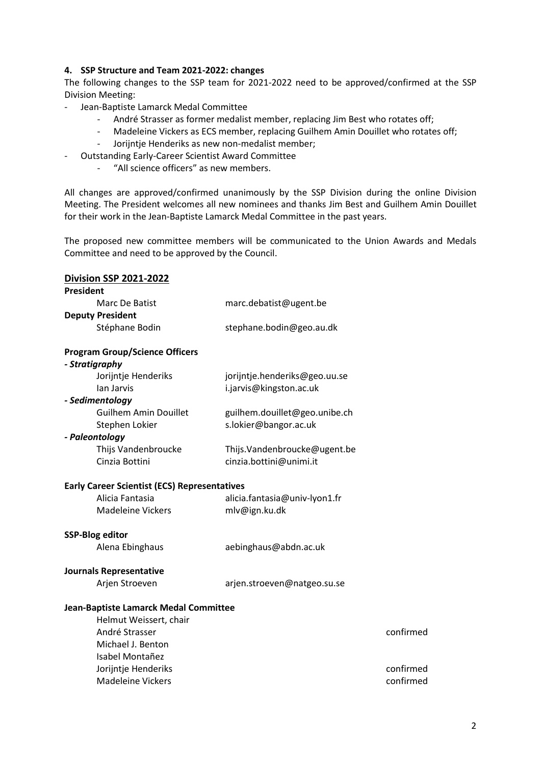#### **4. SSP Structure and Team 2021-2022: changes**

The following changes to the SSP team for 2021-2022 need to be approved/confirmed at the SSP Division Meeting:

- Jean-Baptiste Lamarck Medal Committee
	- André Strasser as former medalist member, replacing Jim Best who rotates off;
	- Madeleine Vickers as ECS member, replacing Guilhem Amin Douillet who rotates off;
	- Jorijntje Henderiks as new non-medalist member;
- Outstanding Early-Career Scientist Award Committee
	- "All science officers" as new members.

All changes are approved/confirmed unanimously by the SSP Division during the online Division Meeting. The President welcomes all new nominees and thanks Jim Best and Guilhem Amin Douillet for their work in the Jean-Baptiste Lamarck Medal Committee in the past years.

The proposed new committee members will be communicated to the Union Awards and Medals Committee and need to be approved by the Council.

| <b>Division SSP 2021-2022</b>                       |                               |           |
|-----------------------------------------------------|-------------------------------|-----------|
| President                                           |                               |           |
| Marc De Batist                                      | marc.debatist@ugent.be        |           |
| <b>Deputy President</b>                             |                               |           |
| Stéphane Bodin                                      | stephane.bodin@geo.au.dk      |           |
| <b>Program Group/Science Officers</b>               |                               |           |
| - Stratigraphy                                      |                               |           |
| Jorijntje Henderiks                                 | jorijntje.henderiks@geo.uu.se |           |
| lan Jarvis                                          | i.jarvis@kingston.ac.uk       |           |
| - Sedimentology                                     |                               |           |
| <b>Guilhem Amin Douillet</b>                        | guilhem.douillet@geo.unibe.ch |           |
| Stephen Lokier                                      | s.lokier@bangor.ac.uk         |           |
| - Paleontology                                      |                               |           |
| Thijs Vandenbroucke                                 | Thijs.Vandenbroucke@ugent.be  |           |
| Cinzia Bottini                                      | cinzia.bottini@unimi.it       |           |
| <b>Early Career Scientist (ECS) Representatives</b> |                               |           |
| Alicia Fantasia                                     | alicia.fantasia@univ-lyon1.fr |           |
| <b>Madeleine Vickers</b>                            | mlv@ign.ku.dk                 |           |
| <b>SSP-Blog editor</b>                              |                               |           |
| Alena Ebinghaus                                     | aebinghaus@abdn.ac.uk         |           |
| <b>Journals Representative</b>                      |                               |           |
| Arjen Stroeven                                      | arjen.stroeven@natgeo.su.se   |           |
| Jean-Baptiste Lamarck Medal Committee               |                               |           |
| Helmut Weissert, chair                              |                               |           |
| André Strasser                                      |                               | confirmed |
| Michael J. Benton                                   |                               |           |
| Isabel Montañez                                     |                               |           |
| Jorijntje Henderiks                                 |                               | confirmed |
| <b>Madeleine Vickers</b>                            |                               | confirmed |
|                                                     |                               |           |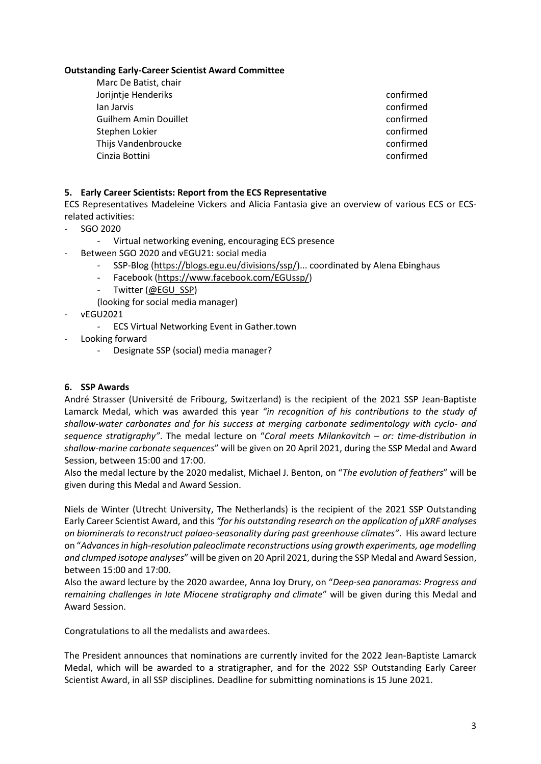#### **Outstanding Early-Career Scientist Award Committee**

| Marc De Batist, chair        |           |
|------------------------------|-----------|
| Jorijntje Henderiks          | confirmed |
| lan Jarvis                   | confirmed |
| <b>Guilhem Amin Douillet</b> | confirmed |
| Stephen Lokier               | confirmed |
| Thijs Vandenbroucke          | confirmed |
| Cinzia Bottini               | confirmed |

# **5. Early Career Scientists: Report from the ECS Representative**

ECS Representatives Madeleine Vickers and Alicia Fantasia give an overview of various ECS or ECSrelated activities:

- SGO 2020
	- Virtual networking evening, encouraging ECS presence
- Between SGO 2020 and vEGU21: social media
	- SSP-Blog (https://blogs.egu.eu/divisions/ssp/)... coordinated by Alena Ebinghaus
	- Facebook (https://www.facebook.com/EGUssp/)
	- Twitter (@EGU\_SSP)
	- (looking for social media manager)
- vEGU2021
	- ECS Virtual Networking Event in Gather.town
- Looking forward
	- Designate SSP (social) media manager?

## **6. SSP Awards**

André Strasser (Université de Fribourg, Switzerland) is the recipient of the 2021 SSP Jean-Baptiste Lamarck Medal, which was awarded this year *"in recognition of his contributions to the study of shallow-water carbonates and for his success at merging carbonate sedimentology with cyclo- and sequence stratigraphy"*. The medal lecture on "*Coral meets Milankovitch – or: time-distribution in shallow-marine carbonate sequences*" will be given on 20 April 2021, during the SSP Medal and Award Session, between 15:00 and 17:00.

Also the medal lecture by the 2020 medalist, Michael J. Benton, on "*The evolution of feathers*" will be given during this Medal and Award Session.

Niels de Winter (Utrecht University, The Netherlands) is the recipient of the 2021 SSP Outstanding Early Career Scientist Award, and this *"for his outstanding research on the application of µXRF analyses on biominerals to reconstruct palaeo-seasonality during past greenhouse climates"*. His award lecture on "*Advances in high-resolution paleoclimate reconstructions using growth experiments, age modelling and clumped isotope analyses*" will be given on 20 April 2021, during the SSP Medal and Award Session, between 15:00 and 17:00.

Also the award lecture by the 2020 awardee, Anna Joy Drury, on "*Deep-sea panoramas: Progress and remaining challenges in late Miocene stratigraphy and climate*" will be given during this Medal and Award Session.

Congratulations to all the medalists and awardees.

The President announces that nominations are currently invited for the 2022 Jean-Baptiste Lamarck Medal, which will be awarded to a stratigrapher, and for the 2022 SSP Outstanding Early Career Scientist Award, in all SSP disciplines. Deadline for submitting nominations is 15 June 2021.